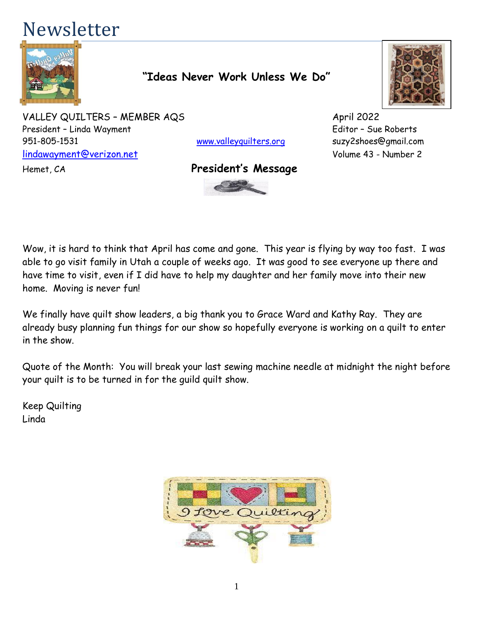# Newsletter



## **"Ideas Never Work Unless We Do"**

VALLEY QUILTERS - MEMBER AQS April 2022 President – Linda Wayment Editor – Sue Roberts 951-805-1531 [www.valleyquilters.org](http://www.valleyquilters.org/) suzy2shoes@gmail.com [lindawayment@verizon.net](mailto:lindawayment@verizon.net) Volume 43 - Number 2

#### Hemet, CA **President's Message**





Wow, it is hard to think that April has come and gone. This year is flying by way too fast. I was able to go visit family in Utah a couple of weeks ago. It was good to see everyone up there and have time to visit, even if I did have to help my daughter and her family move into their new home. Moving is never fun!

We finally have quilt show leaders, a big thank you to Grace Ward and Kathy Ray. They are already busy planning fun things for our show so hopefully everyone is working on a quilt to enter in the show.

Quote of the Month: You will break your last sewing machine needle at midnight the night before your quilt is to be turned in for the guild quilt show.

Keep Quilting Linda

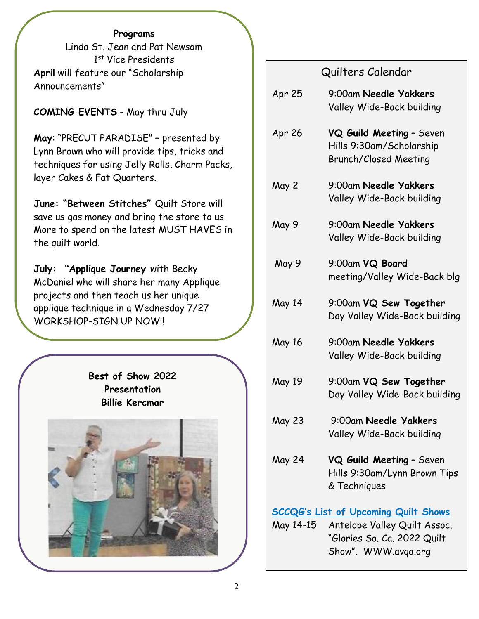#### **Programs**

Linda St. Jean and Pat Newsom 1 st Vice Presidents **April** will feature our "Scholarship Announcements"

#### **COMING EVENTS** - May thru July

**May**: "PRECUT PARADISE" – presented by Lynn Brown who will provide tips, tricks and techniques for using Jelly Rolls, Charm Packs, layer Cakes & Fat Quarters.

**June: "Between Stitches"** Quilt Store will save us gas money and bring the store to us. More to spend on the latest MUST HAVES in the quilt world.

**July: "Applique Journey** with Becky McDaniel who will share her many Applique projects and then teach us her unique applique technique in a Wednesday 7/27 WORKSHOP-SIGN UP NOW!!

> **Best of Show 2022 Presentation Billie Kercmar**



# Quilters Calendar

| Apr 25                                      | 9:00am Needle Yakkers<br>Valley Wide-Back building                                   |  |
|---------------------------------------------|--------------------------------------------------------------------------------------|--|
| Apr 26                                      | VQ Guild Meeting - Seven<br>Hills 9:30am/Scholarship<br><b>Brunch/Closed Meeting</b> |  |
| May 2                                       | 9:00am Needle Yakkers<br>Valley Wide-Back building                                   |  |
| May 9                                       | 9:00am Needle Yakkers<br>Valley Wide-Back building                                   |  |
| May 9                                       | 9:00am VQ Board<br>meeting/Valley Wide-Back blg                                      |  |
| May 14                                      | 9:00am VQ Sew Together<br>Day Valley Wide-Back building                              |  |
| May 16                                      | 9:00am Needle Yakkers<br>Valley Wide-Back building                                   |  |
| May 19                                      | 9:00am VQ Sew Together<br>Day Valley Wide-Back building                              |  |
| <b>May 23</b>                               | 9:00am Needle Yakkers<br>Valley Wide-Back building                                   |  |
| May 24                                      | VQ Guild Meeting - Seven<br>Hills 9:30am/Lynn Brown Tips<br>& Techniques             |  |
| <b>SCCQG's List of Upcoming Quilt Shows</b> |                                                                                      |  |
| May 14-15                                   | Antelope Valley Quilt Assoc.<br>"Glories So. Ca. 2022 Quilt<br>Show". WWW.avga.org   |  |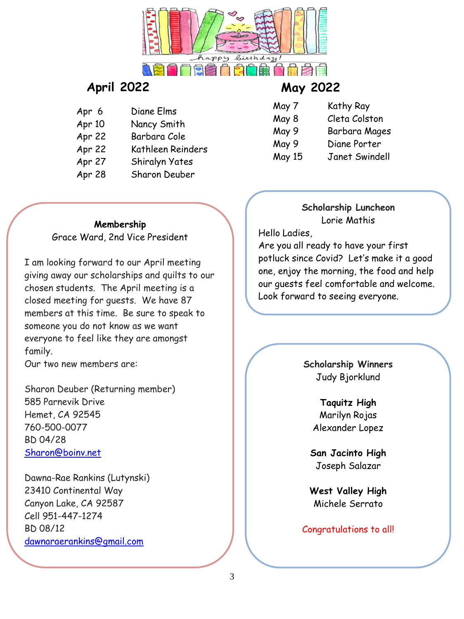

# **April 2022 May 2022**

- Apr 6 Diane Elms Apr 10 Nancy Smith
- Apr 22 Barbara Cole
- Apr 22 Kathleen Reinders
- Apr 27 Shiralyn Yates
- Apr 28 Sharon Deuber

- May 7 Kathy Ray
- May 8 Cleta Colston
- May 9 Barbara Mages
- May 9 Diane Porter
- May 15 Janet Swindell

# **Membership**

Grace Ward, 2nd Vice President

I am looking forward to our April meeting giving away our scholarships and quilts to our chosen students. The April meeting is a closed meeting for guests. We have 87 members at this time. Be sure to speak to someone you do not know as we want everyone to feel like they are amongst family.

Our two new members are:

Sharon Deuber (Returning member) 585 Parnevik Drive Hemet, CA 92545 760-500-0077 BD 04/28 [Sharon@boinv.net](mailto:Sharon@boinv.net)

Dawna-Rae Rankins (Lutynski) 23410 Continental Way Canyon Lake, CA 92587 Cell 951-447-1274 BD 08/12 [dawnaraerankins@gmail.com](mailto:dawnaraerankins@gmail.com)

#### **Scholarship Luncheon** Lorie Mathis

Hello Ladies,

Are you all ready to have your first potluck since Covid? Let's make it a good one, enjoy the morning, the food and help our guests feel comfortable and welcome. Look forward to seeing everyone.

> **Scholarship Winners** Judy Bjorklund

> > **Taquitz High** Marilyn Rojas Alexander Lopez

**San Jacinto High** Joseph Salazar

**West Valley High** Michele Serrato

#### Congratulations to all!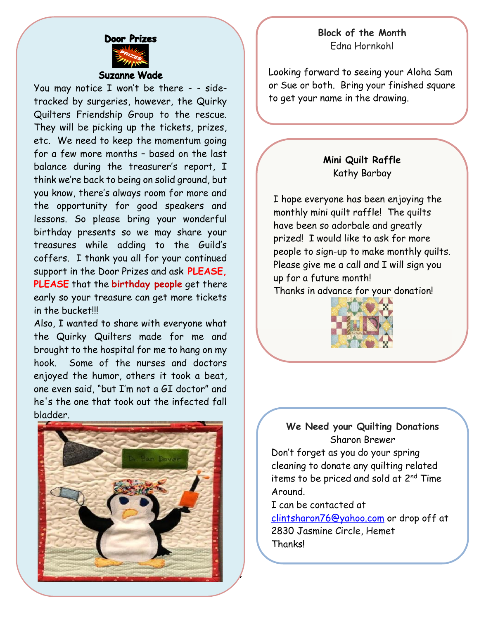#### **Block of the Month** Edna Hornkohl



#### **Suzanne Wade**

You may notice I won't be there - - sidetracked by surgeries, however, the Quirky Quilters Friendship Group to the rescue. They will be picking up the tickets, prizes, etc. We need to keep the momentum going for a few more months – based on the last balance during the treasurer's report, I think we're back to being on solid ground, but you know, there's always room for more and the opportunity for good speakers and lessons. So please bring your wonderful birthday presents so we may share your treasures while adding to the Guild's coffers. I thank you all for your continued support in the Door Prizes and ask **PLEASE, PLEASE** that the **birthday people** get there early so your treasure can get more tickets in the bucket!!!

Also, I wanted to share with everyone what the Quirky Quilters made for me and brought to the hospital for me to hang on my hook. Some of the nurses and doctors enjoyed the humor, others it took a beat, one even said, "but I'm not a GI doctor" and he's the one that took out the infected fall bladder.



Looking forward to seeing your Aloha Sam or Sue or both. Bring your finished square to get your name in the drawing.

#### **Mini Quilt Raffle** Kathy Barbay

I hope everyone has been enjoying the monthly mini quilt raffle! The quilts have been so adorbale and greatly prized! I would like to ask for more people to sign-up to make monthly quilts. Please give me a call and I will sign you up for a future month!

Thanks in advance for your donation!



#### **We Need your Quilting Donations** Sharon Brewer

Don't forget as you do your spring cleaning to donate any quilting related items to be priced and sold at 2<sup>nd</sup> Time Around.

I can be contacted at

 $\overline{a}$ 

4

[clintsharon76@yahoo.com](mailto:clintsharon76@yahoo.com) or drop off at 2830 Jasmine Circle, Hemet **Thanks!**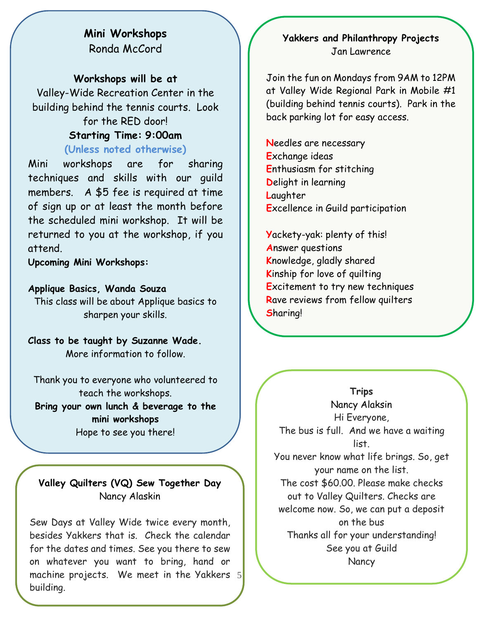### **Mini Workshops** Ronda McCord

#### **Workshops will be at**

Valley-Wide Recreation Center in the building behind the tennis courts. Look for the RED door! **Starting Time: 9:00am**

#### **(Unless noted otherwise)**

Mini workshops are for sharing techniques and skills with our guild members. A \$5 fee is required at time of sign up or at least the month before the scheduled mini workshop. It will be returned to you at the workshop, if you attend.

**Upcoming Mini Workshops:**

#### **Applique Basics, Wanda Souza**

This class will be about Applique basics to sharpen your skills.

**Class to be taught by Suzanne Wade.**  More information to follow.

Thank you to everyone who volunteered to teach the workshops. **Bring your own lunch & beverage to the mini workshops** Hope to see you there!

**Valley Quilters (VQ) Sew Together Day** Nancy Alaskin

5 machine projects. We meet in the Yakkers Sew Days at Valley Wide twice every month, besides Yakkers that is. Check the calendar for the dates and times. See you there to sew on whatever you want to bring, hand or building.

#### **Yakkers and Philanthropy Projects** Jan Lawrence

Join the fun on Mondays from 9AM to 12PM at Valley Wide Regional Park in Mobile #1 (building behind tennis courts). Park in the back parking lot for easy access.

**N**eedles are necessary **E**xchange ideas **E**nthusiasm for stitching **D**elight in learning **L**aughter **E**xcellence in Guild participation

**Y**ackety-yak: plenty of this! **A**nswer questions **K**nowledge, gladly shared **K**inship for love of quilting **E**xcitement to try new techniques **R**ave reviews from fellow quilters **S**haring!

 You never know what life brings. So, get **Trips** Nancy Alaksin Hi Everyone, The bus is full. And we have a waiting list. your name on the list. The cost \$60.00. Please make checks out to Valley Quilters. Checks are welcome now. So, we can put a deposit on the bus Thanks all for your understanding! See you at Guild **Nancy**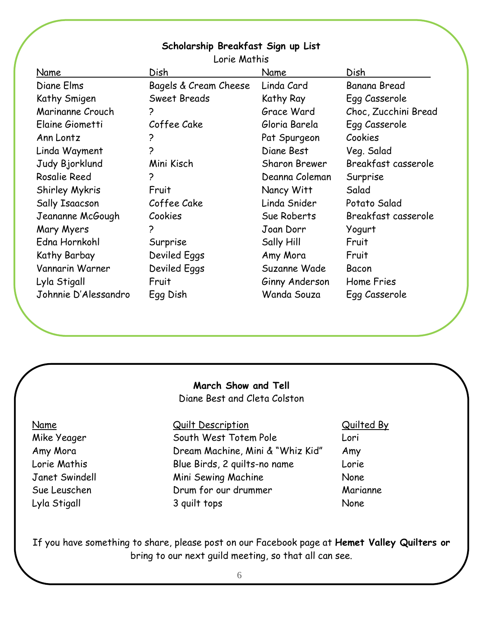#### **Scholarship Breakfast Sign up List**

| Name                 | Dish                  | Name                 | Dish                 |
|----------------------|-----------------------|----------------------|----------------------|
| Diane Elms           | Bagels & Cream Cheese | Linda Card           | Banana Bread         |
| Kathy Smigen         | <b>Sweet Breads</b>   | Kathy Ray            | Egg Casserole        |
| Marinanne Crouch     | ?                     | Grace Ward           | Choc, Zucchini Bread |
| Elaine Giometti      | Coffee Cake           | Gloria Barela        | Egg Casserole        |
| Ann Lontz            | 2                     | Pat Spurgeon         | Cookies              |
| Linda Wayment        | Ç                     | Diane Best           | Veg. Salad           |
| Judy Bjorklund       | Mini Kisch            | <b>Sharon Brewer</b> | Breakfast casserole  |
| Rosalie Reed         | ?                     | Deanna Coleman       | Surprise             |
| Shirley Mykris       | Fruit                 | Nancy Witt           | Salad                |
| Sally Isaacson       | Coffee Cake           | Linda Snider         | Potato Salad         |
| Jeananne McGough     | Cookies               | Sue Roberts          | Breakfast casserole  |
| Mary Myers           | 2                     | Joan Dorr            | Yogurt               |
| Edna Hornkohl        | Surprise              | Sally Hill           | Fruit                |
| Kathy Barbay         | <b>Deviled Eggs</b>   | Amy Mora             | Fruit                |
| Vannarin Warner      | Deviled Eggs          | Suzanne Wade         | Bacon                |
| Lyla Stigall         | Fruit                 | Ginny Anderson       | Home Fries           |
| Johnnie D'Alessandro | Egg Dish              | Wanda Souza          | Egg Casserole        |

Lorie Mathis

#### **March Show and Tell** Diane Best and Cleta Colston

Name Cuilt Description Cuilt Description Mike Yeager South West Totem Pole Lori Amy Mora Dream Machine, Mini & "Whiz Kid" Amy Lorie Mathis Blue Birds, 2 quilts-no name Lorie Janet Swindell Mini Sewing Machine None Sue Leuschen Drum for our drummer Marianne Lyla Stigall 3 quilt tops None

If you have something to share, please post on our Facebook page at **Hemet Valley Quilters or**  bring to our next guild meeting, so that all can see.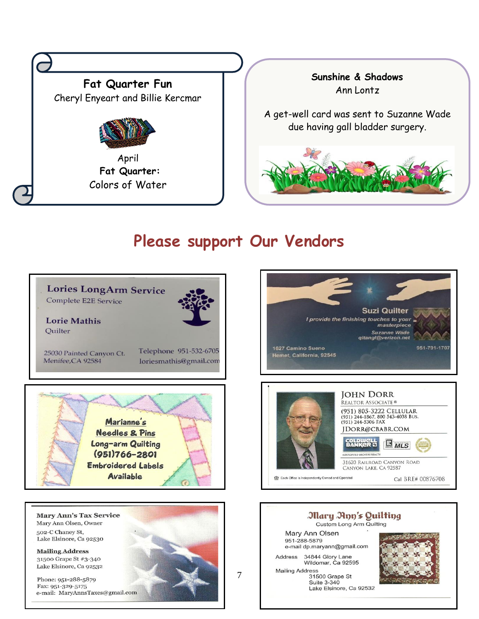

# **Please support Our Vendors**